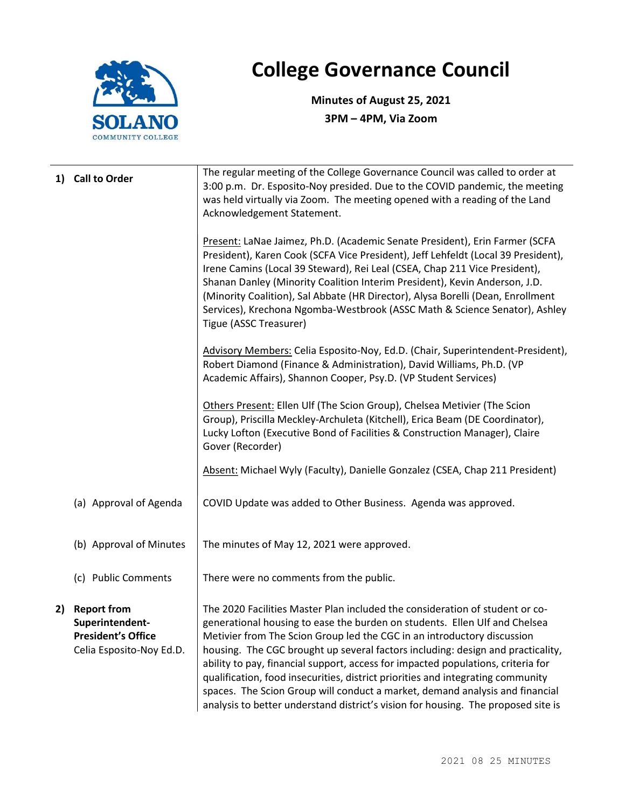

## College Governance Council

Minutes of August 25, 2021 3PM – 4PM, Via Zoom

| 1) Call to Order                                                                           | The regular meeting of the College Governance Council was called to order at<br>3:00 p.m. Dr. Esposito-Noy presided. Due to the COVID pandemic, the meeting<br>was held virtually via Zoom. The meeting opened with a reading of the Land<br>Acknowledgement Statement.                                                                                                                                                                                                                                                                                                                                                                                              |  |  |
|--------------------------------------------------------------------------------------------|----------------------------------------------------------------------------------------------------------------------------------------------------------------------------------------------------------------------------------------------------------------------------------------------------------------------------------------------------------------------------------------------------------------------------------------------------------------------------------------------------------------------------------------------------------------------------------------------------------------------------------------------------------------------|--|--|
|                                                                                            | Present: LaNae Jaimez, Ph.D. (Academic Senate President), Erin Farmer (SCFA<br>President), Karen Cook (SCFA Vice President), Jeff Lehfeldt (Local 39 President),<br>Irene Camins (Local 39 Steward), Rei Leal (CSEA, Chap 211 Vice President),<br>Shanan Danley (Minority Coalition Interim President), Kevin Anderson, J.D.<br>(Minority Coalition), Sal Abbate (HR Director), Alysa Borelli (Dean, Enrollment<br>Services), Krechona Ngomba-Westbrook (ASSC Math & Science Senator), Ashley<br>Tigue (ASSC Treasurer)                                                                                                                                              |  |  |
|                                                                                            | Advisory Members: Celia Esposito-Noy, Ed.D. (Chair, Superintendent-President),<br>Robert Diamond (Finance & Administration), David Williams, Ph.D. (VP<br>Academic Affairs), Shannon Cooper, Psy.D. (VP Student Services)                                                                                                                                                                                                                                                                                                                                                                                                                                            |  |  |
|                                                                                            | Others Present: Ellen Ulf (The Scion Group), Chelsea Metivier (The Scion<br>Group), Priscilla Meckley-Archuleta (Kitchell), Erica Beam (DE Coordinator),<br>Lucky Lofton (Executive Bond of Facilities & Construction Manager), Claire<br>Gover (Recorder)                                                                                                                                                                                                                                                                                                                                                                                                           |  |  |
|                                                                                            | Absent: Michael Wyly (Faculty), Danielle Gonzalez (CSEA, Chap 211 President)                                                                                                                                                                                                                                                                                                                                                                                                                                                                                                                                                                                         |  |  |
| (a) Approval of Agenda                                                                     | COVID Update was added to Other Business. Agenda was approved.                                                                                                                                                                                                                                                                                                                                                                                                                                                                                                                                                                                                       |  |  |
| (b) Approval of Minutes                                                                    | The minutes of May 12, 2021 were approved.                                                                                                                                                                                                                                                                                                                                                                                                                                                                                                                                                                                                                           |  |  |
| (c) Public Comments                                                                        | There were no comments from the public.                                                                                                                                                                                                                                                                                                                                                                                                                                                                                                                                                                                                                              |  |  |
| 2) Report from<br>Superintendent-<br><b>President's Office</b><br>Celia Esposito-Noy Ed.D. | The 2020 Facilities Master Plan included the consideration of student or co-<br>generational housing to ease the burden on students. Ellen Ulf and Chelsea<br>Metivier from The Scion Group led the CGC in an introductory discussion<br>housing. The CGC brought up several factors including: design and practicality,<br>ability to pay, financial support, access for impacted populations, criteria for<br>qualification, food insecurities, district priorities and integrating community<br>spaces. The Scion Group will conduct a market, demand analysis and financial<br>analysis to better understand district's vision for housing. The proposed site is |  |  |